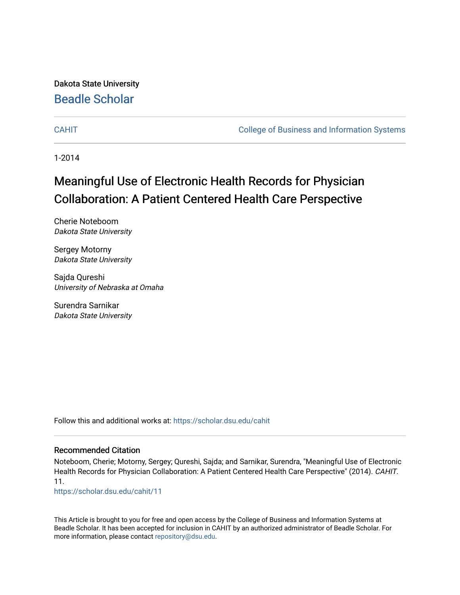Dakota State University [Beadle Scholar](https://scholar.dsu.edu/)

[CAHIT](https://scholar.dsu.edu/cahit) [College of Business and Information Systems](https://scholar.dsu.edu/biscollege) 

1-2014

# Meaningful Use of Electronic Health Records for Physician Collaboration: A Patient Centered Health Care Perspective

Cherie Noteboom Dakota State University

Sergey Motorny Dakota State University

Sajda Qureshi University of Nebraska at Omaha

Surendra Sarnikar Dakota State University

Follow this and additional works at: [https://scholar.dsu.edu/cahit](https://scholar.dsu.edu/cahit?utm_source=scholar.dsu.edu%2Fcahit%2F11&utm_medium=PDF&utm_campaign=PDFCoverPages) 

### Recommended Citation

Noteboom, Cherie; Motorny, Sergey; Qureshi, Sajda; and Sarnikar, Surendra, "Meaningful Use of Electronic Health Records for Physician Collaboration: A Patient Centered Health Care Perspective" (2014). CAHIT. 11.

[https://scholar.dsu.edu/cahit/11](https://scholar.dsu.edu/cahit/11?utm_source=scholar.dsu.edu%2Fcahit%2F11&utm_medium=PDF&utm_campaign=PDFCoverPages) 

This Article is brought to you for free and open access by the College of Business and Information Systems at Beadle Scholar. It has been accepted for inclusion in CAHIT by an authorized administrator of Beadle Scholar. For more information, please contact [repository@dsu.edu.](mailto:repository@dsu.edu)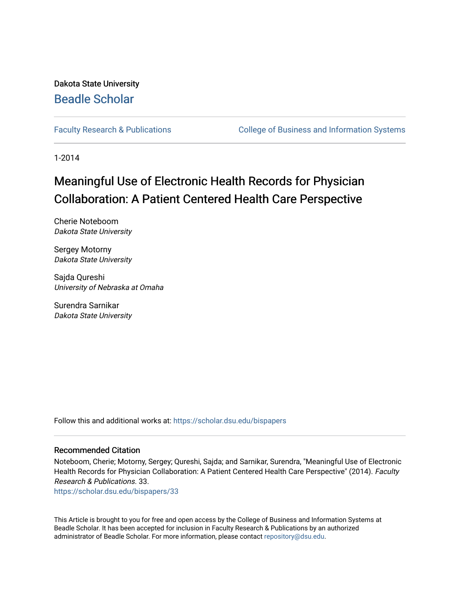Dakota State University [Beadle Scholar](https://scholar.dsu.edu/)

[Faculty Research & Publications](https://scholar.dsu.edu/bispapers) **College of Business and Information Systems** 

1-2014

# Meaningful Use of Electronic Health Records for Physician Collaboration: A Patient Centered Health Care Perspective

Cherie Noteboom Dakota State University

Sergey Motorny Dakota State University

Sajda Qureshi University of Nebraska at Omaha

Surendra Sarnikar Dakota State University

Follow this and additional works at: [https://scholar.dsu.edu/bispapers](https://scholar.dsu.edu/bispapers?utm_source=scholar.dsu.edu%2Fbispapers%2F33&utm_medium=PDF&utm_campaign=PDFCoverPages)

### Recommended Citation

Noteboom, Cherie; Motorny, Sergey; Qureshi, Sajda; and Sarnikar, Surendra, "Meaningful Use of Electronic Health Records for Physician Collaboration: A Patient Centered Health Care Perspective" (2014). Faculty Research & Publications. 33.

[https://scholar.dsu.edu/bispapers/33](https://scholar.dsu.edu/bispapers/33?utm_source=scholar.dsu.edu%2Fbispapers%2F33&utm_medium=PDF&utm_campaign=PDFCoverPages) 

This Article is brought to you for free and open access by the College of Business and Information Systems at Beadle Scholar. It has been accepted for inclusion in Faculty Research & Publications by an authorized administrator of Beadle Scholar. For more information, please contact [repository@dsu.edu.](mailto:repository@dsu.edu)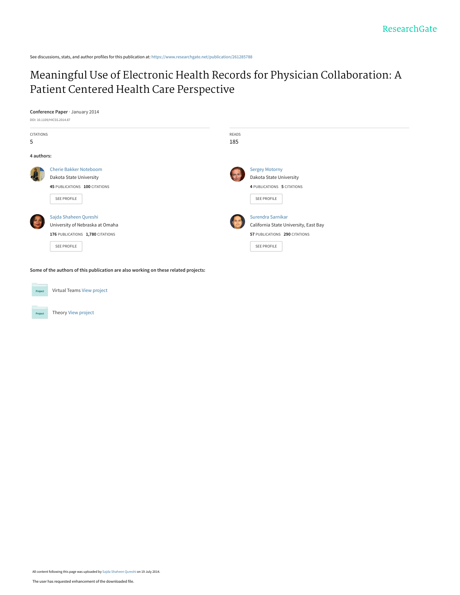See discussions, stats, and author profiles for this publication at: [https://www.researchgate.net/publication/261285788](https://www.researchgate.net/publication/261285788_Meaningful_Use_of_Electronic_Health_Records_for_Physician_Collaboration_A_Patient_Centered_Health_Care_Perspective?enrichId=rgreq-0da23b89c75190b6c7394a2bfa65de3b-XXX&enrichSource=Y292ZXJQYWdlOzI2MTI4NTc4ODtBUzoxMjA3MDM4NTI0ODY2NTZAMTQwNTc4OTQ0OTg2Mw%3D%3D&el=1_x_2&_esc=publicationCoverPdf)

# [Meaningful Use of Electronic Health Records for Physician Collaboration: A](https://www.researchgate.net/publication/261285788_Meaningful_Use_of_Electronic_Health_Records_for_Physician_Collaboration_A_Patient_Centered_Health_Care_Perspective?enrichId=rgreq-0da23b89c75190b6c7394a2bfa65de3b-XXX&enrichSource=Y292ZXJQYWdlOzI2MTI4NTc4ODtBUzoxMjA3MDM4NTI0ODY2NTZAMTQwNTc4OTQ0OTg2Mw%3D%3D&el=1_x_3&_esc=publicationCoverPdf) Patient Centered Health Care Perspective

#### **Conference Paper** · January 2014



**Some of the authors of this publication are also working on these related projects:**

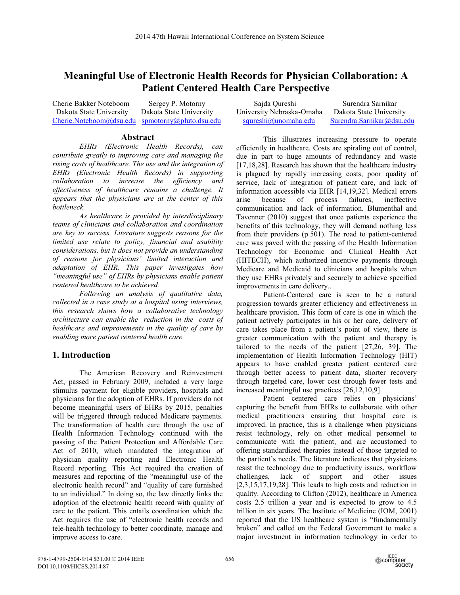# **Meaningful Use of Electronic Health Records for Physician Collaboration: A Patient Centered Health Care Perspective**

Cherie Bakker Noteboom Sergey P. Motorny Sajda Qureshi Surendra Sarnikar<br>
Dakota State University Dakota State University University Nebraska-Omaha Dakota State University  $Cherie.Noteboom@dsu.edu gpmotorny@pluto.dsu.edu$ 

#### **Abstract**

*EHRs (Electronic Health Records), can contribute greatly to improving care and managing the rising costs of healthcare. The use and the integration of EHRs (Electronic Health Records) in supporting collaboration to increase the efficiency and effectiveness of healthcare remains a challenge. It appears that the physicians are at the center of this bottleneck.* 

*As healthcare is provided by interdisciplinary teams of clinicians and collaboration and coordination are key to success. Literature suggests reasons for the limited use relate to policy, financial and usability considerations, but it does not provide an understanding of reasons for physicians' limited interaction and adaptation of EHR. This paper investigates how "meaningful use" of EHRs by physicians enable patient centered healthcare to be achieved.* 

*Following an analysis of qualitative data, collected in a case study at a hospital using interviews, this research shows how a collaborative technology architecture can enable the reduction in the costs of healthcare and improvements in the quality of care by enabling more patient centered health care.* 

### **1. Introduction**

The American Recovery and Reinvestment Act, passed in February 2009, included a very large stimulus payment for eligible providers, hospitals and physicians for the adoption of EHRs. If providers do not become meaningful users of EHRs by 2015, penalties will be triggered through reduced Medicare payments. The transformation of health care through the use of Health Information Technology continued with the passing of the Patient Protection and Affordable Care Act of 2010, which mandated the integration of physician quality reporting and Electronic Health Record reporting. This Act required the creation of measures and reporting of the "meaningful use of the electronic health record" and "quality of care furnished to an individual." In doing so, the law directly links the adoption of the electronic health record with quality of care to the patient. This entails coordination which the Act requires the use of "electronic health records and tele-health technology to better coordinate, manage and improve access to care.

| Sergey P. Motorny                   | Sajda Qureshi             | Surendra Sarnikar         |
|-------------------------------------|---------------------------|---------------------------|
| Dakota State University             | University Nebraska-Omaha | Dakota State University   |
| $s$ pmotorny $\omega$ pluto.dsu.edu | squreshi@unomaha.edu      | Surendra.Sarnikar@dsu.edu |

This illustrates increasing pressure to operate efficiently in healthcare. Costs are spiraling out of control, due in part to huge amounts of redundancy and waste [17,18,28]. Research has shown that the healthcare industry is plagued by rapidly increasing costs, poor quality of service, lack of integration of patient care, and lack of information accessible via EHR [14,19,32]. Medical errors arise because of process failures, ineffective communication and lack of information. Blumenthal and Tavenner (2010) suggest that once patients experience the benefits of this technology, they will demand nothing less from their providers (p.501). The road to patient-centered care was paved with the passing of the Health Information Technology for Economic and Clinical Health Act (HITECH), which authorized incentive payments through Medicare and Medicaid to clinicians and hospitals when they use EHRs privately and securely to achieve specified improvements in care delivery..

Patient-Centered care is seen to be a natural progression towards greater efficiency and effectiveness in healthcare provision. This form of care is one in which the patient actively participates in his or her care, delivery of care takes place from a patient's point of view, there is greater communication with the patient and therapy is tailored to the needs of the patient [27,26, 39]. The implementation of Health Information Technology (HIT) appears to have enabled greater patient centered care through better access to patient data, shorter recovery through targeted care, lower cost through fewer tests and increased meaningful use practices [26,12,10,9].

Patient centered care relies on physicians' capturing the benefit from EHRs to collaborate with other medical practitioners ensuring that hospital care is improved. In practice, this is a challenge when physicians resist technology, rely on other medical personnel to communicate with the patient, and are accustomed to offering standardized therapies instead of those targeted to the partient's needs. The literature indicates that physicians resist the technology due to productivity issues, workflow challenges, lack of support and other issues [2,3,15,17,19,28]. This leads to high costs and reduction in quality. According to Clifton (2012), healthcare in America costs 2.5 trillion a year and is expected to grow to 4.5 trillion in six years. The Institute of Medicine (IOM, 2001) reported that the US healthcare system is "fundamentally broken" and called on the Federal Government to make a major investment in information technology in order to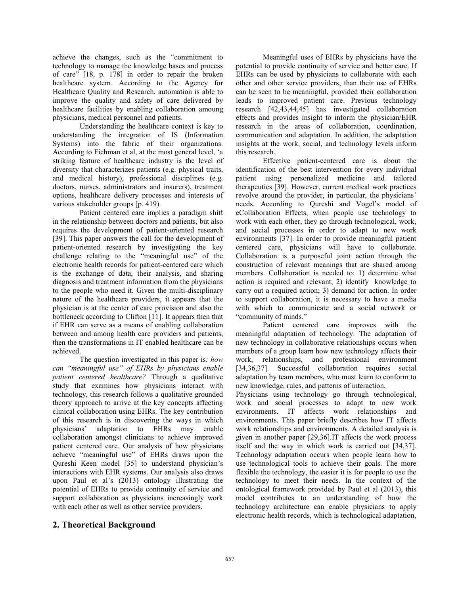achieve the changes, such as the "commitment to technology to manage the knowledge bases and process of care" [18, p. 178] in order to repair the broken healthcare system. According to the Agency for Healthcare Quality and Research, automation is able to improve the quality and safety of care delivered by healthcare facilities by enabling collaboration amoung physicians, medical personnel and patients.

Understanding the healthcare context is key to understanding the integration of IS (Information Systems) into the fabric of their organizations. According to Fichman et al, at the most general level, 'a striking feature of healthcare industry is the level of diversity that characterizes patients (e.g. physical traits, and medical history), professional disciplines (e.g. doctors, nurses, administrators and insurers), treatment options, healthcare delivery processes and interests of various stakeholder groups [p. 419).

Patient centered care implies a paradigm shift in the relationship between doctors and patients, but also requires the development of patient-oriented research [39]. This paper answers the call for the development of patient-oriented research by investigating the key challenge relating to the "meaningful use" of the electronic health records for patient-centered care which is the exchange of data, their analysis, and sharing diagnosis and treatment information from the physicians to the people who need it. Given the multi-disciplinary nature of the healthcare providers, it appears that the physician is at the center of care provision and also the bottleneck according to Clifton [11]. It appears then that if EHR can serve as a means of enabling collaboration between and among health care providers and patients, then the transformations in IT enabled healthcare can be achieved.

The question investigated in this paper is*: how can "meaningful use" of EHRs by physicians enable patient centered healthcare?* Through a qualitative study that examines how physicians interact with technology, this research follows a qualitative grounded theory approach to arrive at the key concepts affecting clinical collaboration using EHRs. The key contribution of this research is in discovering the ways in which physicians' adaptation to EHRs may enable collaboration amongst clinicians to achieve improved patient centered care. Our analysis of how physicians achieve "meaningful use" of EHRs draws upon the Qureshi Keen model [35] to understand physician's interactions with EHR systems. Our analysis also draws upon Paul et al's (2013) ontology illustrating the potential of EHRs to provide continuity of service and support collaboration as physicians increasingly work with each other as well as other service providers.

# **2. Theoretical Background**

Meaningful uses of EHRs by physicians have the potential to provide continuity of service and better care. If EHRs can be used by physicians to collaborate with each other and other service providers, than their use of EHRs can be seen to be meaningful, provided their collaboration leads to improved patient care. Previous technology research [42,43,44,45] has investigated collaboration effects and provides insight to inform the physician/EHR research in the areas of collaboration, coordination, communication and adaptation. In addition, the adaptation insights at the work, social, and technology levels inform this research.

Effective patient-centered care is about the identification of the best intervention for every individual patient using personalized medicine and tailored therapeutics [39]. However, current medical work practices revolve around the provider, in particular, the physicians' needs. According to Qureshi and Vogel's model of eCollaboration Effects, when people use technology to work with each other, they go through technological, work, and social processes in order to adapt to new work environments [37]. In order to provide meaningful patient centered care, physicians will have to collaborate. Collaboration is a purposeful joint action through the construction of relevant meanings that are shared among members. Collaboration is needed to: 1) determine what action is required and relevant; 2) identify knowledge to carry out a required action; 3) demand for action. In order to support collaboration, it is necessary to have a media with which to communicate and a social network or "community of minds."

Patient centered care improves with the meaningful adaptation of technology. The adaptation of new technology in collaborative relationships occurs when members of a group learn how new technology affects their work, relationships, and professional environment [34,36,37]. Successful collaboration requires social adaptation by team members, who must learn to conform to new knowledge, rules, and patterns of interaction.

Physicians using technology go through technological, work and social processes to adapt to new work environments. IT affects work relationships and environments. This paper briefly describes how IT affects work relationships and environments. A detailed analysis is given in another paper [29,36].IT affects the work process itself and the way in which work is carried out [34,37]. Technology adaptation occurs when people learn how to use technological tools to achieve their goals. The more flexible the technology, the easier it is for people to use the technology to meet their needs. In the context of the ontological framework provided by Paul et al (2013), this model contributes to an understanding of how the technology architecture can enable physicians to apply electronic health records, which is technological adaptation,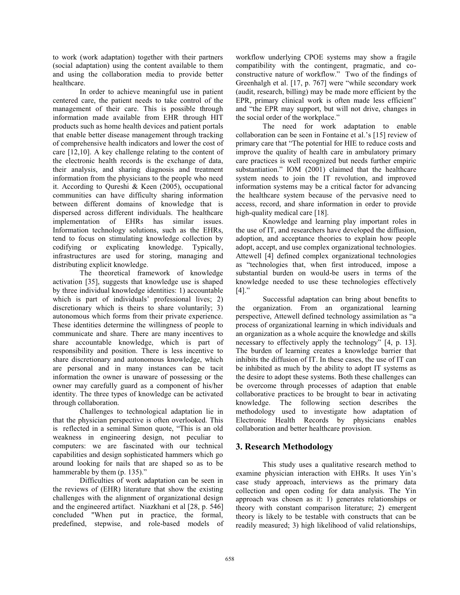to work (work adaptation) together with their partners (social adaptation) using the content available to them and using the collaboration media to provide better healthcare.

In order to achieve meaningful use in patient centered care, the patient needs to take control of the management of their care. This is possible through information made available from EHR through HIT products such as home health devices and patient portals that enable better disease management through tracking of comprehensive health indicators and lower the cost of care [12,10]. A key challenge relating to the content of the electronic health records is the exchange of data, their analysis, and sharing diagnosis and treatment information from the physicians to the people who need it. According to Qureshi & Keen (2005), occupational communities can have difficulty sharing information between different domains of knowledge that is dispersed across different individuals. The healthcare implementation of EHRs has similar issues. Information technology solutions, such as the EHRs, tend to focus on stimulating knowledge collection by codifying or explicating knowledge. Typically, infrastructures are used for storing, managing and distributing explicit knowledge.

The theoretical framework of knowledge activation [35], suggests that knowledge use is shaped by three individual knowledge identities: 1) accountable which is part of individuals' professional lives; 2) discretionary which is theirs to share voluntarily; 3) autonomous which forms from their private experience. These identities determine the willingness of people to communicate and share. There are many incentives to share accountable knowledge, which is part of responsibility and position. There is less incentive to share discretionary and autonomous knowledge, which are personal and in many instances can be tacit information the owner is unaware of possessing or the owner may carefully guard as a component of his/her identity. The three types of knowledge can be activated through collaboration.

Challenges to technological adaptation lie in that the physician perspective is often overlooked. This is reflected in a seminal Simon quote, "This is an old weakness in engineering design, not peculiar to computers: we are fascinated with our technical capabilities and design sophisticated hammers which go around looking for nails that are shaped so as to be hammerable by them (p. 135)."

Difficulties of work adaptation can be seen in the reviews of (EHR) literature that show the existing challenges with the alignment of organizational design and the engineered artifact. Niazkhani et al [28, p. 546] concluded "When put in practice, the formal, predefined, stepwise, and role-based models of workflow underlying CPOE systems may show a fragile compatibility with the contingent, pragmatic, and coconstructive nature of workflow." Two of the findings of Greenhalgh et al. [17, p. 767] were "while secondary work (audit, research, billing) may be made more efficient by the EPR, primary clinical work is often made less efficient" and "the EPR may support, but will not drive, changes in the social order of the workplace."

The need for work adaptation to enable collaboration can be seen in Fontaine et al.'s [15] review of primary care that "The potential for HIE to reduce costs and improve the quality of health care in ambulatory primary care practices is well recognized but needs further empiric substantiation." IOM (2001) claimed that the healthcare system needs to join the IT revolution, and improved information systems may be a critical factor for advancing the healthcare system because of the pervasive need to access, record, and share information in order to provide high-quality medical care [18].

Knowledge and learning play important roles in the use of IT, and researchers have developed the diffusion, adoption, and acceptance theories to explain how people adopt, accept, and use complex organizational technologies. Attewell [4] defined complex organizational technologies as "technologies that, when first introduced, impose a substantial burden on would-be users in terms of the knowledge needed to use these technologies effectively  $[4]$ ."

Successful adaptation can bring about benefits to the organization. From an organizational learning perspective, Attewell defined technology assimilation as "a process of organizational learning in which individuals and an organization as a whole acquire the knowledge and skills necessary to effectively apply the technology" [4, p. 13]. The burden of learning creates a knowledge barrier that inhibits the diffusion of IT. In these cases, the use of IT can be inhibited as much by the ability to adopt IT systems as the desire to adopt these systems. Both these challenges can be overcome through processes of adaption that enable collaborative practices to be brought to bear in activating knowledge. The following section describes the methodology used to investigate how adaptation of Electronic Health Records by physicians enables collaboration and better healthcare provision.

# **3. Research Methodology**

This study uses a qualitative research method to examine physician interaction with EHRs. It uses Yin's case study approach, interviews as the primary data collection and open coding for data analysis. The Yin approach was chosen as it: 1) generates relationships or theory with constant comparison literature; 2) emergent theory is likely to be testable with constructs that can be readily measured; 3) high likelihood of valid relationships,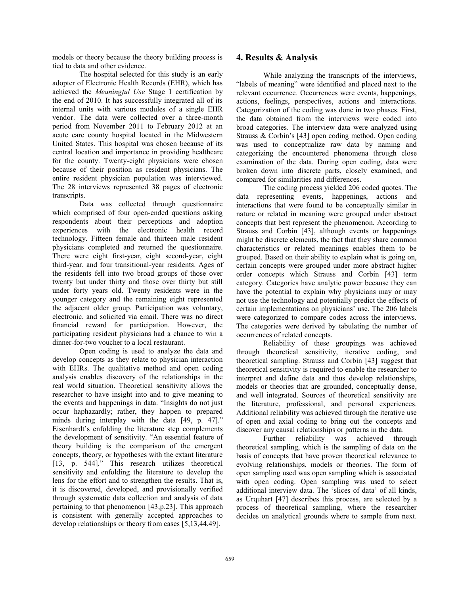models or theory because the theory building process is tied to data and other evidence.

The hospital selected for this study is an early adopter of Electronic Health Records (EHR), which has achieved the *Meaningful Use* Stage 1 certification by the end of 2010. It has successfully integrated all of its internal units with various modules of a single EHR vendor. The data were collected over a three-month period from November 2011 to February 2012 at an acute care county hospital located in the Midwestern United States. This hospital was chosen because of its central location and importance in providing healthcare for the county. Twenty-eight physicians were chosen because of their position as resident physicians. The entire resident physician population was interviewed. The 28 interviews represented 38 pages of electronic transcripts.

Data was collected through questionnaire which comprised of four open-ended questions asking respondents about their perceptions and adoption experiences with the electronic health record technology. Fifteen female and thirteen male resident physicians completed and returned the questionnaire. There were eight first-year, eight second-year, eight third-year, and four transitional-year residents. Ages of the residents fell into two broad groups of those over twenty but under thirty and those over thirty but still under forty years old. Twenty residents were in the younger category and the remaining eight represented the adjacent older group. Participation was voluntary, electronic, and solicited via email. There was no direct financial reward for participation. However, the participating resident physicians had a chance to win a dinner-for-two voucher to a local restaurant.

Open coding is used to analyze the data and develop concepts as they relate to physician interaction with EHRs. The qualitative method and open coding analysis enables discovery of the relationships in the real world situation. Theoretical sensitivity allows the researcher to have insight into and to give meaning to the events and happenings in data. "Insights do not just occur haphazardly; rather, they happen to prepared minds during interplay with the data [49, p. 47]." Eisenhardt's enfolding the literature step complements the development of sensitivity. "An essential feature of theory building is the comparison of the emergent concepts, theory, or hypotheses with the extant literature [13, p. 544]." This research utilizes theoretical sensitivity and enfolding the literature to develop the lens for the effort and to strengthen the results. That is, it is discovered, developed, and provisionally verified through systematic data collection and analysis of data pertaining to that phenomenon [43,p.23]. This approach is consistent with generally accepted approaches to develop relationships or theory from cases [5,13,44,49].

## **4. Results & Analysis**

While analyzing the transcripts of the interviews, "labels of meaning" were identified and placed next to the relevant occurrence. Occurrences were events, happenings, actions, feelings, perspectives, actions and interactions. Categorization of the coding was done in two phases. First, the data obtained from the interviews were coded into broad categories. The interview data were analyzed using Strauss & Corbin's [43] open coding method. Open coding was used to conceptualize raw data by naming and categorizing the encountered phenomena through close examination of the data. During open coding, data were broken down into discrete parts, closely examined, and compared for similarities and differences.

The coding process yielded 206 coded quotes. The data representing events, happenings, actions and interactions that were found to be conceptually similar in nature or related in meaning were grouped under abstract concepts that best represent the phenomenon. According to Strauss and Corbin [43], although events or happenings might be discrete elements, the fact that they share common characteristics or related meanings enables them to be grouped. Based on their ability to explain what is going on, certain concepts were grouped under more abstract higher order concepts which Strauss and Corbin [43] term category. Categories have analytic power because they can have the potential to explain why physicians may or may not use the technology and potentially predict the effects of certain implementations on physicians' use. The 206 labels were categorized to compare codes across the interviews. The categories were derived by tabulating the number of occurrences of related concepts.

Reliability of these groupings was achieved through theoretical sensitivity, iterative coding, and theoretical sampling. Strauss and Corbin [43] suggest that theoretical sensitivity is required to enable the researcher to interpret and define data and thus develop relationships, models or theories that are grounded, conceptually dense, and well integrated. Sources of theoretical sensitivity are the literature, professional, and personal experiences. Additional reliability was achieved through the iterative use of open and axial coding to bring out the concepts and discover any causal relationships or patterns in the data.

Further reliability was achieved through theoretical sampling, which is the sampling of data on the basis of concepts that have proven theoretical relevance to evolving relationships, models or theories. The form of open sampling used was open sampling which is associated with open coding. Open sampling was used to select additional interview data. The 'slices of data' of all kinds, as Urquhart [47] describes this process, are selected by a process of theoretical sampling, where the researcher decides on analytical grounds where to sample from next.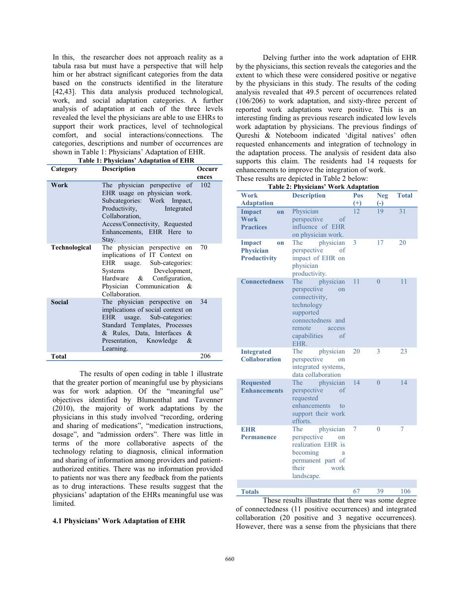In this, the researcher does not approach reality as a tabula rasa but must have a perspective that will help him or her abstract significant categories from the data based on the constructs identified in the literature [42,43]. This data analysis produced technological, work, and social adaptation categories. A further analysis of adaptation at each of the three levels revealed the level the physicians are able to use EHRs to support their work practices, level of technological comfort, and social interactions/connections. The categories, descriptions and number of occurrences are shown in Table 1: Physicians' Adaptation of EHR. **Table 1: Physicians' Adaptation of EHR** 

| Table 1: Physicially Adaptation of Efir |                                                                                                                                                                                                                      |        |  |
|-----------------------------------------|----------------------------------------------------------------------------------------------------------------------------------------------------------------------------------------------------------------------|--------|--|
| Category                                | <b>Description</b>                                                                                                                                                                                                   | Occurr |  |
|                                         |                                                                                                                                                                                                                      | ences  |  |
| Work                                    | The physician perspective of<br>EHR usage on physician work.<br>Subcategories: Work Impact,<br>Productivity,<br>Integrated<br>Collaboration,<br>Access/Connectivity, Requested<br>Enhancements, EHR Here to<br>Stay. | 102    |  |
| Technological                           | The physician perspective on<br>implications of IT Context on<br>usage. Sub-categories:<br>EHR<br>Development,<br>Systems<br>Configuration,<br>Hardware &<br>Physician Communication &<br>Collaboration.             | 70     |  |
| <b>Social</b>                           | The physician perspective on<br>implications of social context on<br>EHR usage. Sub-categories:<br>Standard Templates, Processes<br>& Rules, Data, Interfaces &<br>Presentation, Knowledge<br>&<br>Learning.         | 34     |  |
| Total                                   |                                                                                                                                                                                                                      | 206    |  |

The results of open coding in table 1 illustrate that the greater portion of meaningful use by physicians was for work adaption. Of the "meaningful use" objectives identified by Blumenthal and Tavenner (2010), the majority of work adaptations by the physicians in this study involved "recording, ordering and sharing of medications", "medication instructions, dosage", and "admission orders". There was little in terms of the more collaborative aspects of the technology relating to diagnosis, clinical information and sharing of information among providers and patientauthorized entities. There was no information provided to patients nor was there any feedback from the patients as to drug interactions. These results suggest that the physicians' adaptation of the EHRs meaningful use was limited.

#### **4.1 Physicians' Work Adaptation of EHR**

Delving further into the work adaptation of EHR by the physicians, this section reveals the categories and the extent to which these were considered positive or negative by the physicians in this study. The results of the coding analysis revealed that 49.5 percent of occurrences related (106/206) to work adaptation, and sixty-three percent of reported work adaptations were positive. This is an interesting finding as previous research indicated low levels work adaptation by physicians. The previous findings of Qureshi & Noteboom indicated 'digital natives' often requested enhancements and integration of technology in the adaptation process. The analysis of resident data also supports this claim. The residents had 14 requests for enhancements to improve the integration of work. These results are depicted in Table 2 below:

| $\frac{1}{2}$ results are depicted in Table 2 below. |  |
|------------------------------------------------------|--|
| <b>Table 2: Physicians' Work Adaptation</b>          |  |

|                                                                   | Table 2. I hysicialis - Wol K Auaptation                                                                                                                          |       |                   |              |
|-------------------------------------------------------------------|-------------------------------------------------------------------------------------------------------------------------------------------------------------------|-------|-------------------|--------------|
| <b>Work</b>                                                       | <b>Description</b>                                                                                                                                                | Pos   | <b>Neg</b>        | <b>Total</b> |
| <b>Adaptation</b>                                                 |                                                                                                                                                                   | $(+)$ | $\left( -\right)$ |              |
| <b>Impact</b><br>$\mathbf{on}$<br><b>Work</b><br><b>Practices</b> | Physician<br>perspective<br>of<br>influence of EHR<br>on physician work.                                                                                          | 12.   | 19                | 31           |
| <b>Impact</b><br>on<br><b>Physician</b><br><b>Productivity</b>    | physician<br>The<br>perspective<br>οf<br>impact of EHR on<br>physician<br>productivity.                                                                           | 3     | 17                | 20           |
| <b>Connectedness</b>                                              | physician<br>The<br>perspective<br>$_{\rm on}$<br>connectivity,<br>technology<br>supported<br>connectedness and<br>remote<br>access<br>capabilities<br>οf<br>EHR. | 11    | $\overline{0}$    | 11           |
| <b>Integrated</b><br><b>Collaboration</b>                         | The<br>physician<br>perspective<br>$_{\rm on}$<br>integrated systems,<br>data collaboration                                                                       | 20    | 3                 | 23           |
| <b>Requested</b><br><b>Enhancements</b>                           | The<br>physician<br>perspective<br>of<br>requested<br>enhancements<br>$\overline{10}$<br>support their work<br>efforts.                                           | 14    | $\theta$          | 14           |
| <b>EHR</b><br><b>Permanence</b>                                   | physician<br>The<br>perspective<br>$_{\rm on}$<br>realization EHR is<br>becoming<br>a<br>permanent part of<br>their<br>work<br>landscape.                         | 7     | $\theta$          | 7            |
| <b>Totals</b>                                                     |                                                                                                                                                                   | 67    | 39                | 106          |
|                                                                   |                                                                                                                                                                   |       |                   |              |

These results illustrate that there was some degree of connectedness (11 positive occurrences) and integrated collaboration (20 positive and 3 negative occurrences). However, there was a sense from the physicians that there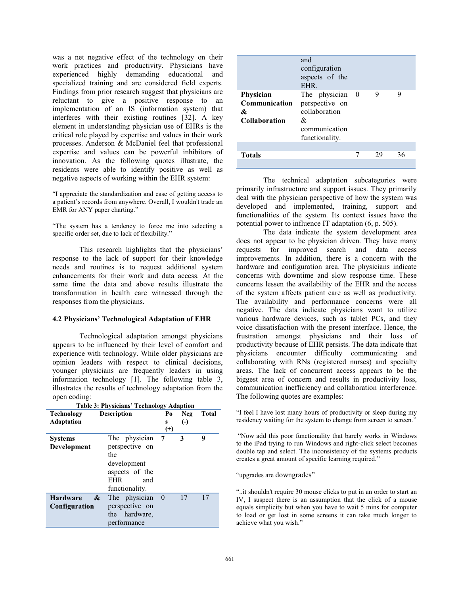was a net negative effect of the technology on their work practices and productivity. Physicians have experienced highly demanding educational and specialized training and are considered field experts. Findings from prior research suggest that physicians are reluctant to give a positive response to an implementation of an IS (information system) that interferes with their existing routines [32]. A key element in understanding physician use of EHRs is the critical role played by expertise and values in their work processes. Anderson & McDaniel feel that professional expertise and values can be powerful inhibitors of innovation. As the following quotes illustrate, the residents were able to identify positive as well as negative aspects of working within the EHR system:

"I appreciate the standardization and ease of getting access to a patient's records from anywhere. Overall, I wouldn't trade an EMR for ANY paper charting."

"The system has a tendency to force me into selecting a specific order set, due to lack of flexibility."

This research highlights that the physicians' response to the lack of support for their knowledge needs and routines is to request additional system enhancements for their work and data access. At the same time the data and above results illustrate the transformation in health care witnessed through the responses from the physicians.

#### **4.2 Physicians' Technological Adaptation of EHR**

Technological adaptation amongst physicians appears to be influenced by their level of comfort and experience with technology. While older physicians are opinion leaders with respect to clinical decisions, younger physicians are frequently leaders in using information technology [1]. The following table 3, illustrates the results of technology adaptation from the open coding:

| <b>Table 3: Physicians' Technology Adaption</b>   |                                                                                                         |                     |              |              |
|---------------------------------------------------|---------------------------------------------------------------------------------------------------------|---------------------|--------------|--------------|
| Technology<br>Adaptation                          | <b>Description</b>                                                                                      | Po<br>s<br>$^{(+)}$ | Neg<br>$(-)$ | <b>Total</b> |
| <b>Systems</b><br>Development                     | The physician<br>perspective on<br>the<br>development<br>aspects of the<br>EHR<br>and<br>functionality. | -7                  | 3            | 9            |
| <b>Hardware</b><br>$\mathbf{\&}$<br>Configuration | The physician<br>perspective on<br>the hardware,<br>performance                                         | $\overline{0}$      | 17           | 17           |

| <b>Physician</b><br>Communication<br>&<br><b>Collaboration</b> | and<br>configuration<br>aspects of the<br>EHR.<br>The physician 0<br>perspective on<br>collaboration<br>&<br>communication | 9  | 9  |
|----------------------------------------------------------------|----------------------------------------------------------------------------------------------------------------------------|----|----|
|                                                                | functionality.                                                                                                             |    |    |
| <b>Totals</b>                                                  |                                                                                                                            | 29 | 36 |
|                                                                |                                                                                                                            |    |    |

The technical adaptation subcategories were primarily infrastructure and support issues. They primarily deal with the physician perspective of how the system was developed and implemented, training, support and functionalities of the system. Its context issues have the potential power to influence IT adaptation (6, p. 505).

The data indicate the system development area does not appear to be physician driven. They have many requests for improved search and data access improvements. In addition, there is a concern with the hardware and configuration area. The physicians indicate concerns with downtime and slow response time. These concerns lessen the availability of the EHR and the access of the system affects patient care as well as productivity. The availability and performance concerns were all negative. The data indicate physicians want to utilize various hardware devices, such as tablet PCs, and they voice dissatisfaction with the present interface. Hence, the frustration amongst physicians and their loss of productivity because of EHR persists. The data indicate that physicians encounter difficulty communicating and collaborating with RNs (registered nurses) and specialty areas. The lack of concurrent access appears to be the biggest area of concern and results in productivity loss, communication inefficiency and collaboration interference. The following quotes are examples:

"I feel I have lost many hours of productivity or sleep during my residency waiting for the system to change from screen to screen."

"Now add this poor functionality that barely works in Windows to the iPad trying to run Windows and right-click select becomes double tap and select. The inconsistency of the systems products creates a great amount of specific learning required."

"upgrades are downgrades"

"..it shouldn't require 30 mouse clicks to put in an order to start an IV, I suspect there is an assumption that the click of a mouse equals simplicity but when you have to wait 5 mins for computer to load or get lost in some screens it can take much longer to achieve what you wish."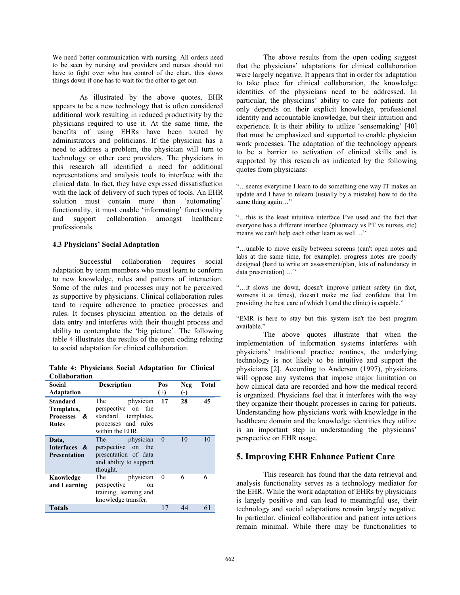We need better communication with nursing. All orders need to be seen by nursing and providers and nurses should not have to fight over who has control of the chart, this slows things down if one has to wait for the other to get out.

As illustrated by the above quotes, EHR appears to be a new technology that is often considered additional work resulting in reduced productivity by the physicians required to use it. At the same time, the benefits of using EHRs have been touted by administrators and politicians. If the physician has a need to address a problem, the physician will turn to technology or other care providers. The physicians in this research all identified a need for additional representations and analysis tools to interface with the clinical data. In fact, they have expressed dissatisfaction with the lack of delivery of such types of tools. An EHR solution must contain more than 'automating' functionality, it must enable 'informating' functionality and support collaboration amongst healthcare professionals.

#### **4.3 Physicians' Social Adaptation**

Successful collaboration requires social adaptation by team members who must learn to conform to new knowledge, rules and patterns of interaction. Some of the rules and processes may not be perceived as supportive by physicians. Clinical collaboration rules tend to require adherence to practice processes and rules. It focuses physician attention on the details of data entry and interferes with their thought process and ability to contemplate the 'big picture'. The following table 4 illustrates the results of the open coding relating to social adaptation for clinical collaboration.

**Table 4: Physicians Social Adaptation for Clinical Collaboration** 

| Social<br><b>Adaptation</b>                                            | <b>Description</b>                                                                                               | Pos<br>$^{(+)}$ | Neg<br>$(-)$ | <b>Total</b> |
|------------------------------------------------------------------------|------------------------------------------------------------------------------------------------------------------|-----------------|--------------|--------------|
| <b>Standard</b><br>Templates,<br><b>Processes</b><br>&<br><b>Rules</b> | The<br>physician<br>perspective<br>the<br>on<br>standard<br>templates,<br>processes and rules<br>within the EHR. | 17              | 28           | 45           |
| Data,<br>Interfaces &<br><b>Presentation</b>                           | physician<br>The<br>perspective<br>on the<br>presentation of data<br>and ability to support<br>thought.          | $\theta$        | 10           | 10           |
| Knowledge<br>and Learning                                              | The<br>physician<br>perspective<br>on<br>training, learning and<br>knowledge transfer.                           | $\theta$        | 6            | 6            |
| <b>Totals</b>                                                          |                                                                                                                  | 17              | 44           | 61           |

The above results from the open coding suggest that the physicians' adaptations for clinical collaboration were largely negative. It appears that in order for adaptation to take place for clinical collaboration, the knowledge identities of the physicians need to be addressed. In particular, the physicians' ability to care for patients not only depends on their explicit knowledge, professional identity and accountable knowledge, but their intuition and experience. It is their ability to utilize 'sensemaking' [40] that must be emphasized and supported to enable physician work processes. The adaptation of the technology appears to be a barrier to activation of clinical skills and is supported by this research as indicated by the following quotes from physicians:

"…seems everytime I learn to do something one way IT makes an update and I have to relearn (usually by a mistake) how to do the same thing again..."

"…this is the least intuitive interface I've used and the fact that everyone has a different interface (pharmacy vs PT vs nurses, etc) means we can't help each other learn as well…"

"…unable to move easily between screens (can't open notes and labs at the same time, for example). progress notes are poorly designed (hard to write an assessment/plan, lots of redundancy in data presentation) …"

"…it slows me down, doesn't improve patient safety (in fact, worsens it at times), doesn't make me feel confident that I'm providing the best care of which I (and the clinic) is capable."

"EMR is here to stay but this system isn't the best program available."

The above quotes illustrate that when the implementation of information systems interferes with physicians' traditional practice routines, the underlying technology is not likely to be intuitive and support the physicians [2]. According to Anderson (1997), physicians will oppose any systems that impose major limitation on how clinical data are recorded and how the medical record is organized. Physicians feel that it interferes with the way they organize their thought processes in caring for patients. Understanding how physicians work with knowledge in the healthcare domain and the knowledge identities they utilize is an important step in understanding the physicians' perspective on EHR usage.

#### **5. Improving EHR Enhance Patient Care**

This research has found that the data retrieval and analysis functionality serves as a technology mediator for the EHR. While the work adaptation of EHRs by physicians is largely positive and can lead to meaningful use, their technology and social adaptations remain largely negative. In particular, clinical collaboration and patient interactions remain minimal. While there may be functionalities to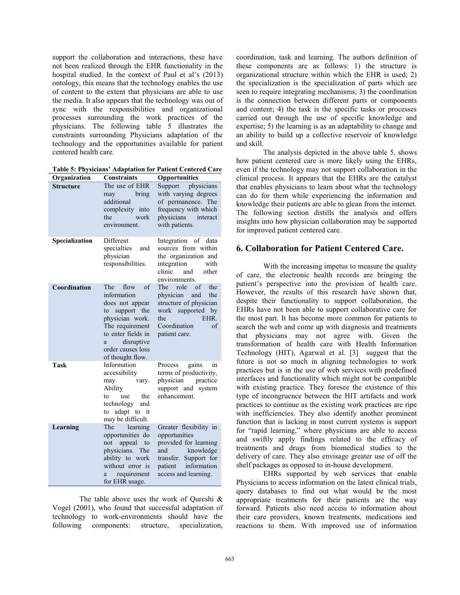support the collaboration and interactions, these have not been realized through the EHR functionality in the hospital studied. In the context of Paul et al's (2013) ontology, this means that the technology enables the use of content to the extent that physicians are able to use the media. It also appears that the technology was out of sync with the responsibilities and organizational processes surrounding the work practices of the physicians. The following table 5 illustrates the constraints surrounding Physicians adaptation of the technology and the opportunities available for patient centered health care.

|  | Table 5: Physicians' Adaptation for Patient Centered Care |  |  |
|--|-----------------------------------------------------------|--|--|
|  |                                                           |  |  |

| Organization     | <b>Constraints</b>                                                                                                                                                                            | Opportunities                                                                                                                                                   |
|------------------|-----------------------------------------------------------------------------------------------------------------------------------------------------------------------------------------------|-----------------------------------------------------------------------------------------------------------------------------------------------------------------|
| <b>Structure</b> | The use of EHR<br>bring<br>may<br>additional<br>complexity into<br>the<br>work<br>environment.                                                                                                | Support<br>physicians<br>with varying degrees<br>of permanence. The<br>frequency with which<br>physicians interact<br>with patients.                            |
| Specialization   | Different<br>specialties<br>and<br>physician<br>responsibilities.                                                                                                                             | Integration<br>of data<br>sources from within<br>the organization and<br>integration<br>with<br>clinic<br>and<br>other<br>environments.                         |
| Coordination     | The<br>flow<br>of<br>information<br>does not appear<br>to support the<br>physician work.<br>The requirement<br>to enter fields in<br>disruptive<br>a<br>order causes loss<br>of thought flow. | The role<br>of<br>the<br>physician<br>the<br>and<br>structure of physician<br>work supported by<br>EHR.<br>the<br>Coordination<br>of<br>patient care.           |
| <b>Task</b>      | Information<br>accessibility<br>vary.<br>may<br>Ability<br>the<br>to<br>use<br>technology<br>and<br>adapt to it<br>to<br>may be difficult.                                                    | gains<br>Process<br>in<br>terms of productivity,<br>physician practice<br>support and system<br>enhancement.                                                    |
| Learning         | learning<br>The<br>opportunities do<br>not appeal to<br>physicians. The<br>ability to work<br>without error is<br>requirement<br>a<br>for EHR usage.                                          | Greater flexibility in<br>opportunities<br>provided for learning<br>knowledge<br>and<br>transfer. Support for<br>patient<br>information<br>access and learning. |

The table above uses the work of Oureshi  $\&$ Vogel (2001), who found that successful adaptation of technology to work-environments should have the following components: structure, specialization, coordination, task and learning. The authors definition of these components are as follows: 1) the structure is organizational structure within which the EHR is used; 2) the specialization is the specialization of parts which are seen to require integrating mechanisms; 3) the coordination is the connection between different parts or components and content; 4) the task is the specific tasks or processes carried out through the use of specific knowledge and expertise; 5) the learning is as an adaptability to change and an ability to build up a collective reservoir of knowledge and skill.

The analysis depicted in the above table 5, shows how patient centered care is more likely using the EHRs, even if the technology may not support collaboration in the clinical process. It appears that the EHRs are the catalyst that enables physicians to learn about what the technology can do for them while experiencing the information and knowledge their patients are able to glean from the internet. The following section distills the analysis and offers insights into how physician collaboration may be supported for improved patient centered care.

#### **6. Collaboration for Patient Centered Care.**

With the increasing impetus to measure the quality of care, the electronic health records are bringing the patient's perspective into the provision of health care. However, the results of this research have shown that, despite their functionality to support collaboration, the EHRs have not been able to support collaborative care for the most part. It has become more common for patients to search the web and come up with diagnosis and treatments that physicians may not agree with. Given the transformation of health care with Health Information Technology (HIT), Agarwal et al. [3] suggest that the future is not so much in aligning technologies to work practices but is in the use of web services with predefined interfaces and functionality which might not be compatible with existing practice. They foresee the existence of this type of incongruence between the HIT artifacts and work practices to continue as the existing work practices are ripe with inefficiencies. They also identify another prominent function that is lacking in most current systems is support for "rapid learning," where physicians are able to access and swiftly apply findings related to the efficacy of treatments and drugs from biomedical studies to the delivery of care. They also envisage greater use of off the shelf packages as opposed to in-house development.

EHRs supported by web services that enable Physicians to access information on the latest clinical trials, query databases to find out what would be the most appropriate treatments for their patients are the way forward. Patients also need access to information about their care providers, known treatments, medications and reactions to them. With improved use of information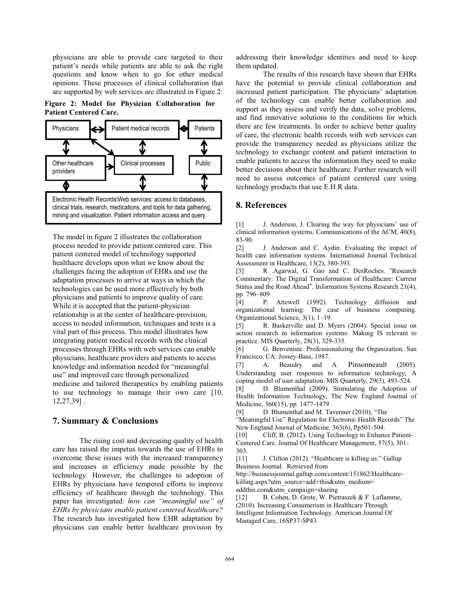physicians are able to provide care targeted to their patient's needs while patients are able to ask the right questions and know when to go for other medical opinions. These processes of clinical collaboration that are supported by web services are illustrated in Figure 2:

**Figure 2: Model for Physician Collaboration for Patient Centered Care.** 



The model in figure 2 illustrates the collaboration process needed to provide patient centered care. This patient centered model of technology supported healthacre develops upon what we know about the challenges facing the adoption of EHRs and use the adaptation processes to arrive at ways in which the technologies can be used more effectively by both physicians and patients to improve quality of care. While it is accepted that the patient-physician relationship is at the center of healthcare-provision, access to needed information, techniques and tests is a vital part of this process. This model illustrates how integrating patient medical records with the clinical processes through EHRs with web services can enable physicians, healthcare providers and patients to access knowledge and information needed for "meaningful use" and improved care through personalized medicine and tailored therapeutics by enabling patients to use technology to manage their own care [10, 12,27,39] .

### **7. Summary & Conclusions**

The rising cost and decreasing quality of health care has raised the impetus towards the use of EHRs to overcome these issues with the increased transparency and increases in efficiency made possible by the technology. However, the challenges to adoption of EHRs by physicians have tempered efforts to improve efficiency of healthcare through the technology. This paper has investigated: *how can "meaningful use" of EHRs by physicians enable patient centered healthcare?* The research has investigated how EHR adaptation by physicians can enable better healthcare provision by

addressing their knowledge identities and need to keep them updated.

The results of this research have shown that EHRs have the potential to provide clinical collaboration and increased patient participation. The physicians' adaptation of the technology can enable better collaboration and support as they assess and verify the data, solve problems, and find innovative solutions to the conditions for which there are few treatments. In order to achieve better quality of care, the electronic health records with web services can provide the transparency needed as physicians utilize the technology to exchange content and patient interaction to enable patients to access the information they need to make better decisions about their healthcare. Further research will need to assess outcomes of patient centered care using technology products that use E.H.R data.

#### **8. References**

[1] J. Anderson, J. Clearing the way for physicians' use of clinical information systems. Communications of the ACM, 40(8), 83-90.

[2] J. Anderson and C. Aydin. Evaluating the impact of health care information systems. International Journal Technical Assessment in Healthcare, 13(2), 380-393.

[3] R .Agarwal, G. Gao and C. DesRoches. "Research Commentary: The Digital Transformation of Healthcare: Current Status and the Road Ahead". Information Systems Research 21(4), pp. 796–809

[4] P. Attewell (1992). Technology diffusion and organizational learning: The case of business computing. Organizational Science, 3(1), 1–19.

[5] R. Baskerville and D. Myers (2004). Special issue on action research in information systems: Making IS relevant to practice. MIS Quarterly, 28(3), 329-335.

[6] G. Benveniste. Professionalizing the Organization. San Francisco, CA: Jossey-Bass, 1987.

[7] A. Beaudry and A. Pinsonneault (2005). Understanding user responses to information technology; A coping model of user adaptation. MIS Quarterly, 29(3), 493-524.

[8] D. Blumenthal (2009). Stimulating the Adoption of Health Information Technology, The New England Journal of Medicine, 360(15), pp. 1477-1479.

[9] D. Blumenthal and M. Tavenner (2010), "The

"Meaningful Use" Regulation for Electronic Health Records" The New England Journal of Medicine. 363(6), Pp501-504.

[10] Cliff, B. (2012). Using Technology to Enhance Patient-Centered Care. Journal Of Healthcare Management, 57(5), 301- 303.

[11] J. Clifton (2012). "Healthcare is killing us." Gallup Business Journal. Retrieved from

http://businessjournal.gallup.com/content/151862/Healthcarekilling.aspx?utm\_source=add+this&utm\_medium= addthis.com&utm\_campaign=sharing

[12] B. Cohen, D. Grote, W. Pietraszek & F. Laflamme, (2010). Increasing Consumerism in Healthcare Through Intelligent Information Technology. American Journal Of Managed Care, 16SP37-SP43.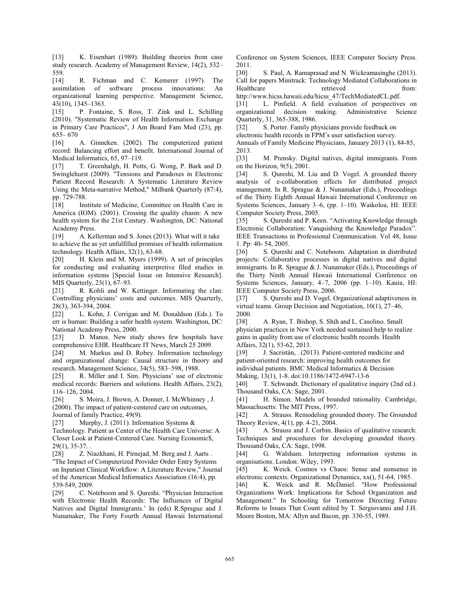[13] K. Eisenhart (1989). Building theories from case study research. Academy of Management Review, 14(2), 532– 559.

[14] R. Fichman and C. Kemerer (1997). The assimilation of software process innovations: An organizational learning perspective. Management Science, 43(10), 1345–1363.<br>[15] P. Fontain

[15] P. Fontaine, S. Ross, T. Zink and L. Schilling (2010). "Systematic Review of Health Information Exchange in Primary Care Practices", J Am Board Fam Med (23), pp. 655– 670

[16] A. Ginneken. (2002). The computerized patient record: Balancing effort and benefit. International Journal of Medical Informatics, 65, 97–119.

[17] T. Greenhalgh, H. Potts, G. Wong, P. Bark and D. Swinglehurst (2009). "Tensions and Paradoxes in Electronic Patient Record Research: A Systematic Literature Review Using the Meta-narrative Method," Milbank Quarterly (87:4), pp. 729-788.

[18] Institute of Medicine, Committee on Health Care in America (IOM). (2001). Crossing the quality chasm: A new health system for the 21st Century. Washington, DC: National Academy Press.

[19] A. Kellerman and S. Jones (2013). What will it take to achieve the as yet unfulfilled promises of health information technology. Health Affairs,  $32(1)$ , 63-68.

[20] H. Klein and M. Myers (1999). A set of principles for conducting and evaluating interpretive filed studies in information systems [Special Issue on Intensive Research]. MIS Quarterly, 23(1), 67–93.

[21] R. Kohli and W. Kettinger. Informating the clan: Controlling physicians' costs and outcomes. MIS Quarterly, 28(3), 363-394, 2004.

[22] L. Kohn, J. Corrigan and M. Donaldson (Eds.). To err is human: Building a safer health system. Washington, DC: National Academy Press, 2000.

[23] D. Manos. New study shows few hospitals have comprehensive EHR. Healthcare IT News, March 25 2009.

[24] M. Markus and D. Robey. Information technology and organizational change: Causal structure in theory and research. Management Science, 34(5), 583–598, 1988.

[25] R. Miller and I. Sim. Physicians' use of electronic medical records: Barriers and solutions. Health Affairs, 23(2), 116–126, 2004.

[26] S. Moira, J. Brown, A. Donner, I. McWhinney , J. (2000). The impact of patient-centered care on outcomes, Journal of family Practice, 49(9).

[27] Murphy, J. (2011). Information Systems & Technology. Patient as Center of the Health Care Universe: A Closer Look at Patient-Centered Care. Nursing Economic\$, 29(1), 35-37. .

[28] Z. Niazkhani, H. Pirnejad, M. Berg and J. Aarts .

"The Impact of Computerized Provider Order Entry Systems on Inpatient Clinical Workflow: A Literature Review," Journal of the American Medical Informatics Association (16:4), pp. 539-549, 2009.

[29] C. Noteboom and S. Qureshi. "Physician Interaction with Electronic Health Records: The Influences of Digital Natives and Digital Immigrants.' In (eds) R.Sprague and J. Nunamaker, The Forty Fourth Annual Hawaii International Conference on System Sciences, IEEE Computer Society Press. 2011.

[30] S. Paul, A. Ramaprasad and N. Wickramasinghe (2013). Call for papers Minitrack: Technology Mediated Collaborations in Healthcare retrieved from: http://www.hicss.hawaii.edu/hicss\_47/TechMediatedCL.pdf.

[31] L. Pinfield. A field evaluation of perspectives on organizational decision making. Quarterly, 31, 365-388, 1986.

[32] S. Porter. Family physicians provide feedback on

electronic health records in FPM's user satisfaction survey.

Annuals of Family Medicine Physicians, January 2013 (1), 84-85, 2013.

[33] M. Prensky. Digital natives, digital immigrants. From on the Horizon, 9(5), 2001.

[34] S. Qureshi, M. Liu and D. Vogel. A grounded theory analysis of e-collaboration effects for distributed project management. In R. Sprague & J. Nunamaker (Eds.), Proceedings of the Thirty Eighth Annual Hawaii International Conference on Systems Sciences, January 3–6, (pp. 1–10). Waikoloa, HI: IEEE Computer Society Press, 2005.

[35] S. Qureshi and P. Keen. "Activating Knowledge through Electronic Collaboration: Vanquishing the Knowledge Paradox". IEEE Transactions in Professional Communication. Vol 48, Issue 1. Pp: 40- 54, 2005.

[36] S. Qureshi and C. Noteboom. Adaptation in distributed projects: Collaborative processes in digital natives and digital immigrants. In R. Sprague & J. Nunamaker (Eds.), Proceedings of the Thirty Ninth Annual Hawaii International Conference on Systems Sciences, January, 4–7, 2006 (pp. 1–10). Kauia, HI: IEEE Computer Society Press, 2006.

[37] S. Qureshi and D. Vogel. Organizational adaptiveness in virtual teams. Group Decision and Negotiation, 10(1), 27–46, 2000.

[38] A. Ryan, T. Bishop, S. Shih and L. Casolino. Small physician practices in New York needed sustained help to realize gains in quality from use of electronic health records. Health

Affairs, 32(1), 53-62, 2013.<br>[39] J. Sacristán, . (20) J. Sacristán, . (2013). Patient-centered medicine and patient-oriented research: improving health outcomes for individual patients. BMC Medical Informatics & Decision Making, 13(1), 1-8. doi:10.1186/1472-6947-13-6

[40] T. Schwandt. Dictionary of qualitative inquiry (2nd ed.). Thousand Oaks, CA: Sage, 2001.

[41] H. Simon. Models of bounded rationality. Cambridge, Massachusetts: The MIT Press, 1997.

[42] A. Strauss. Remodeling grounded theory. The Grounded Theory Review, 4(1), pp. 4-21, 2004.

[43] A. Strauss and J. Corbin. Basics of qualitative research: Techniques and procedures for developing grounded theory. Thousand Oaks, CA: Sage, 1998.

[44] G. Walsham. Interpreting information systems in organisations. London: Wiley, 1993.

[45] K. Weick. Cosmos vs Chaos: Sense and nonsense in electronic contexts. Organizational Dynamics, xx(), 51-64, 1985.

[46] K. Weick and R. McDaniel. "How Professional Organizations Work: Implications for School Organization and Management." In Schooling for Tomorrow Directing Future Reforms to Issues That Count edited by T. Sergiovanni and J.H. Moore Boston, MA: Allyn and Bacon, pp. 330-55, 1989.